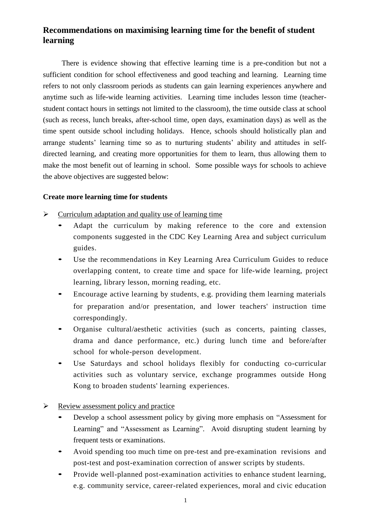## **Recommendations on maximising learning time for the benefit of student learning**

There is evidence showing that effective learning time is a pre-condition but not a sufficient condition for school effectiveness and good teaching and learning. Learning time refers to not only classroom periods as students can gain learning experiences anywhere and anytime such as life-wide learning activities. Learning time includes lesson time (teacherstudent contact hours in settings not limited to the classroom), the time outside class at school (such as recess, lunch breaks, after-school time, open days, examination days) as well as the time spent outside school including holidays. Hence, schools should holistically plan and arrange students' learning time so as to nurturing students' ability and attitudes in selfdirected learning, and creating more opportunities for them to learn, thus allowing them to make the most benefit out of learning in school. Some possible ways for schools to achieve the above objectives are suggested below:

## **Create more learning time for students**

- $\triangleright$  Curriculum adaptation and quality use of learning time
	- Adapt the curriculum by making reference to the core and extension components suggested in the CDC Key Learning Area and subject curriculum guides.
	- Use the recommendations in Key Learning Area Curriculum Guides to reduce overlapping content, to create time and space for life-wide learning, project learning, library lesson, morning reading, etc.
	- Encourage active learning by students, e.g. providing them learning materials for preparation and/or presentation, and lower teachers' instruction time correspondingly.
	- Organise cultural/aesthetic activities (such as concerts, painting classes, drama and dance performance, etc.) during lunch time and before/after school for whole-person development.
	- Use Saturdays and school holidays flexibly for conducting co-curricular activities such as voluntary service, exchange programmes outside Hong Kong to broaden students' learning experiences.

## $\triangleright$  Review assessment policy and practice

- Develop a school assessment policy by giving more emphasis on "Assessment for Learning" and "Assessment as Learning". Avoid disrupting student learning by frequent tests or examinations.
- Avoid spending too much time on pre-test and pre-examination revisions and post-test and post-examination correction of answer scripts by students.
- Provide well-planned post-examination activities to enhance student learning, e.g. community service, career-related experiences, moral and civic education